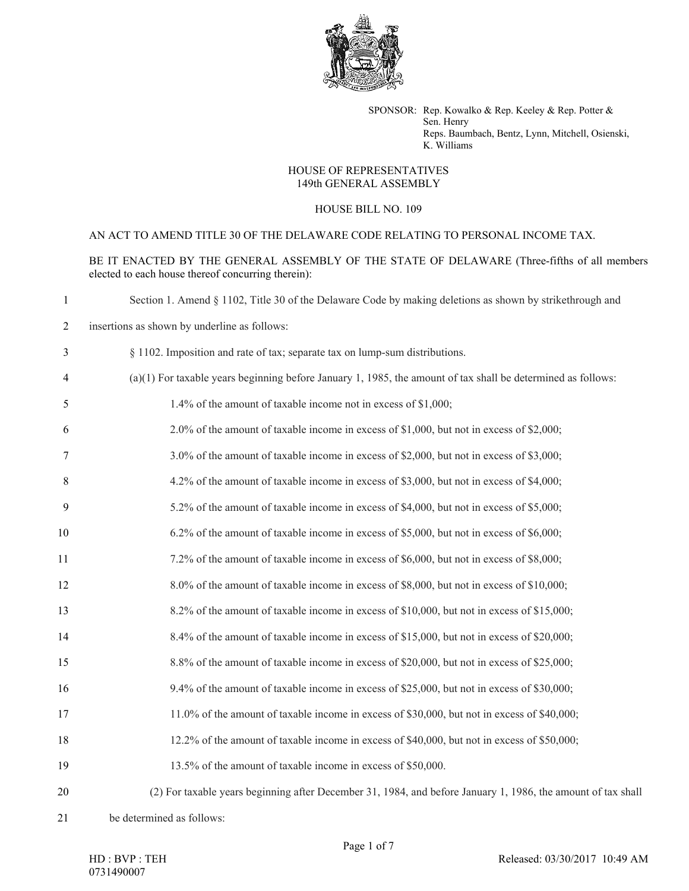

SPONSOR: Rep. Kowalko & Rep. Keeley & Rep. Potter & Sen. Henry Reps. Baumbach, Bentz, Lynn, Mitchell, Osienski, K. Williams

## HOUSE OF REPRESENTATIVES 149th GENERAL ASSEMBLY

## HOUSE BILL NO. 109

## AN ACT TO AMEND TITLE 30 OF THE DELAWARE CODE RELATING TO PERSONAL INCOME TAX.

BE IT ENACTED BY THE GENERAL ASSEMBLY OF THE STATE OF DELAWARE (Three-fifths of all members elected to each house thereof concurring therein):

| $\mathbf{1}$   | Section 1. Amend § 1102, Title 30 of the Delaware Code by making deletions as shown by strikethrough and       |
|----------------|----------------------------------------------------------------------------------------------------------------|
| $\overline{2}$ | insertions as shown by underline as follows:                                                                   |
| 3              | § 1102. Imposition and rate of tax; separate tax on lump-sum distributions.                                    |
| $\overline{4}$ | $(a)(1)$ For taxable years beginning before January 1, 1985, the amount of tax shall be determined as follows: |
| 5              | 1.4% of the amount of taxable income not in excess of \$1,000;                                                 |
| 6              | 2.0% of the amount of taxable income in excess of \$1,000, but not in excess of \$2,000;                       |
| 7              | 3.0% of the amount of taxable income in excess of \$2,000, but not in excess of \$3,000;                       |
| 8              | 4.2% of the amount of taxable income in excess of \$3,000, but not in excess of \$4,000;                       |
| 9              | 5.2% of the amount of taxable income in excess of \$4,000, but not in excess of \$5,000;                       |
| 10             | 6.2% of the amount of taxable income in excess of \$5,000, but not in excess of \$6,000;                       |
| 11             | 7.2% of the amount of taxable income in excess of \$6,000, but not in excess of \$8,000;                       |
| 12             | 8.0% of the amount of taxable income in excess of \$8,000, but not in excess of \$10,000;                      |
| 13             | 8.2% of the amount of taxable income in excess of \$10,000, but not in excess of \$15,000;                     |
| 14             | 8.4% of the amount of taxable income in excess of \$15,000, but not in excess of \$20,000;                     |
| 15             | 8.8% of the amount of taxable income in excess of \$20,000, but not in excess of \$25,000;                     |
| 16             | 9.4% of the amount of taxable income in excess of \$25,000, but not in excess of \$30,000;                     |
| 17             | 11.0% of the amount of taxable income in excess of \$30,000, but not in excess of \$40,000;                    |
| 18             | 12.2% of the amount of taxable income in excess of \$40,000, but not in excess of \$50,000;                    |
| 19             | 13.5% of the amount of taxable income in excess of \$50,000.                                                   |
| 20             | (2) For taxable years beginning after December 31, 1984, and before January 1, 1986, the amount of tax shall   |
|                |                                                                                                                |

be determined as follows:

HD : BVP : TEH 

Page 1 of 7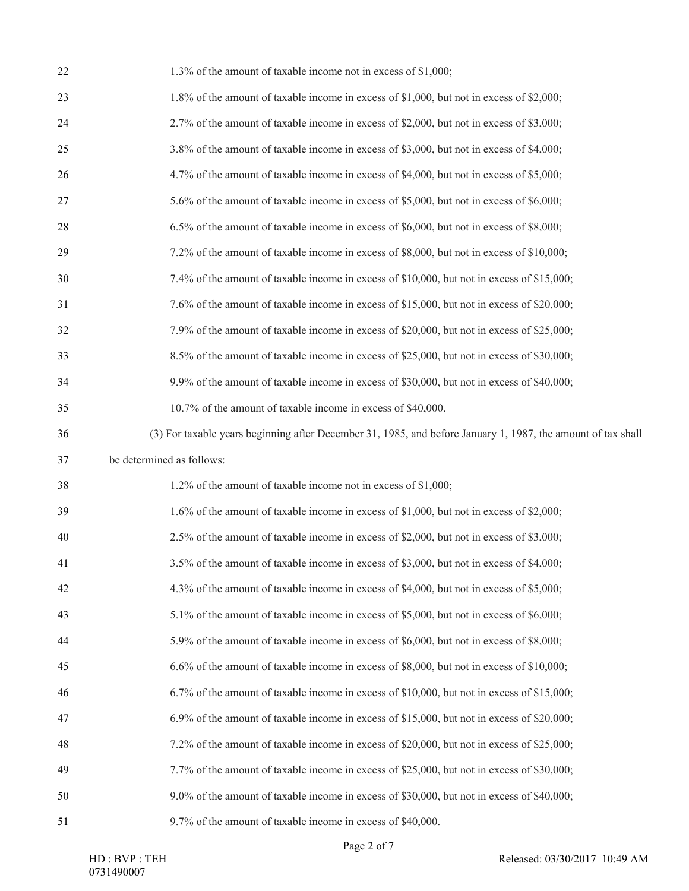| 22 | 1.3% of the amount of taxable income not in excess of \$1,000;                                               |
|----|--------------------------------------------------------------------------------------------------------------|
| 23 | 1.8% of the amount of taxable income in excess of \$1,000, but not in excess of \$2,000;                     |
| 24 | 2.7% of the amount of taxable income in excess of \$2,000, but not in excess of \$3,000;                     |
| 25 | 3.8% of the amount of taxable income in excess of \$3,000, but not in excess of \$4,000;                     |
| 26 | 4.7% of the amount of taxable income in excess of \$4,000, but not in excess of \$5,000;                     |
| 27 | 5.6% of the amount of taxable income in excess of \$5,000, but not in excess of \$6,000;                     |
| 28 | 6.5% of the amount of taxable income in excess of \$6,000, but not in excess of \$8,000;                     |
| 29 | 7.2% of the amount of taxable income in excess of \$8,000, but not in excess of \$10,000;                    |
| 30 | 7.4% of the amount of taxable income in excess of \$10,000, but not in excess of \$15,000;                   |
| 31 | 7.6% of the amount of taxable income in excess of \$15,000, but not in excess of \$20,000;                   |
| 32 | 7.9% of the amount of taxable income in excess of \$20,000, but not in excess of \$25,000;                   |
| 33 | 8.5% of the amount of taxable income in excess of \$25,000, but not in excess of \$30,000;                   |
| 34 | 9.9% of the amount of taxable income in excess of \$30,000, but not in excess of \$40,000;                   |
| 35 | 10.7% of the amount of taxable income in excess of \$40,000.                                                 |
| 36 | (3) For taxable years beginning after December 31, 1985, and before January 1, 1987, the amount of tax shall |
|    |                                                                                                              |
| 37 | be determined as follows:                                                                                    |
| 38 | 1.2% of the amount of taxable income not in excess of \$1,000;                                               |
| 39 | 1.6% of the amount of taxable income in excess of \$1,000, but not in excess of \$2,000;                     |
| 40 | 2.5% of the amount of taxable income in excess of \$2,000, but not in excess of \$3,000;                     |
| 41 | 3.5% of the amount of taxable income in excess of \$3,000, but not in excess of \$4,000;                     |
| 42 | 4.3% of the amount of taxable income in excess of \$4,000, but not in excess of \$5,000;                     |
| 43 | 5.1% of the amount of taxable income in excess of \$5,000, but not in excess of \$6,000;                     |
| 44 | 5.9% of the amount of taxable income in excess of \$6,000, but not in excess of \$8,000;                     |
| 45 | 6.6% of the amount of taxable income in excess of \$8,000, but not in excess of \$10,000;                    |
| 46 | 6.7% of the amount of taxable income in excess of \$10,000, but not in excess of \$15,000;                   |
| 47 | 6.9% of the amount of taxable income in excess of \$15,000, but not in excess of \$20,000;                   |
| 48 | 7.2% of the amount of taxable income in excess of \$20,000, but not in excess of \$25,000;                   |
| 49 | 7.7% of the amount of taxable income in excess of \$25,000, but not in excess of \$30,000;                   |
| 50 | 9.0% of the amount of taxable income in excess of \$30,000, but not in excess of \$40,000;                   |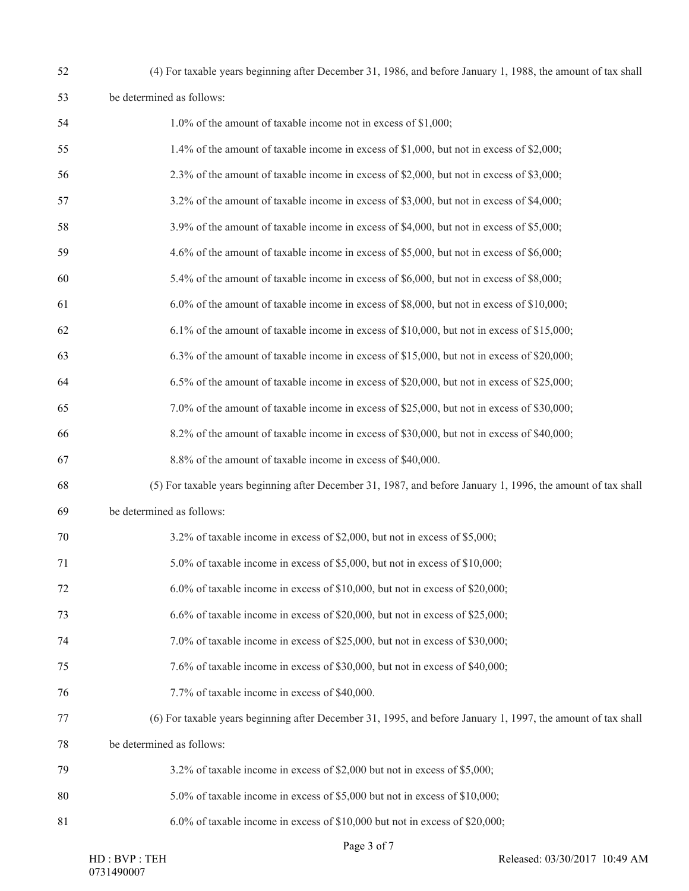| 52 | (4) For taxable years beginning after December 31, 1986, and before January 1, 1988, the amount of tax shall |
|----|--------------------------------------------------------------------------------------------------------------|
|    | be determined as follows:                                                                                    |

| 54 | 1.0% of the amount of taxable income not in excess of \$1,000;                                               |
|----|--------------------------------------------------------------------------------------------------------------|
| 55 | 1.4% of the amount of taxable income in excess of \$1,000, but not in excess of \$2,000;                     |
| 56 | 2.3% of the amount of taxable income in excess of \$2,000, but not in excess of \$3,000;                     |
| 57 | 3.2% of the amount of taxable income in excess of \$3,000, but not in excess of \$4,000;                     |
| 58 | 3.9% of the amount of taxable income in excess of \$4,000, but not in excess of \$5,000;                     |
| 59 | 4.6% of the amount of taxable income in excess of \$5,000, but not in excess of \$6,000;                     |
| 60 | 5.4% of the amount of taxable income in excess of \$6,000, but not in excess of \$8,000;                     |
| 61 | 6.0% of the amount of taxable income in excess of \$8,000, but not in excess of \$10,000;                    |
| 62 | 6.1% of the amount of taxable income in excess of \$10,000, but not in excess of \$15,000;                   |
| 63 | 6.3% of the amount of taxable income in excess of \$15,000, but not in excess of \$20,000;                   |
| 64 | 6.5% of the amount of taxable income in excess of \$20,000, but not in excess of \$25,000;                   |
| 65 | 7.0% of the amount of taxable income in excess of \$25,000, but not in excess of \$30,000;                   |
| 66 | 8.2% of the amount of taxable income in excess of \$30,000, but not in excess of \$40,000;                   |
| 67 | 8.8% of the amount of taxable income in excess of \$40,000.                                                  |
| 68 | (5) For taxable years beginning after December 31, 1987, and before January 1, 1996, the amount of tax shall |
| 69 | be determined as follows:                                                                                    |
| 70 | 3.2% of taxable income in excess of \$2,000, but not in excess of \$5,000;                                   |
| 71 | 5.0% of taxable income in excess of \$5,000, but not in excess of \$10,000;                                  |
| 72 | 6.0% of taxable income in excess of \$10,000, but not in excess of \$20,000;                                 |
| 73 | $6.6\%$ of taxable income in excess of \$20,000, but not in excess of \$25,000;                              |
| 74 | 7.0% of taxable income in excess of \$25,000, but not in excess of \$30,000;                                 |
| 75 | 7.6% of taxable income in excess of \$30,000, but not in excess of \$40,000;                                 |
| 76 | 7.7% of taxable income in excess of \$40,000.                                                                |
| 77 | (6) For taxable years beginning after December 31, 1995, and before January 1, 1997, the amount of tax shall |
| 78 | be determined as follows:                                                                                    |
| 79 | 3.2% of taxable income in excess of \$2,000 but not in excess of \$5,000;                                    |
| 80 | 5.0% of taxable income in excess of \$5,000 but not in excess of \$10,000;                                   |
| 81 | 6.0% of taxable income in excess of \$10,000 but not in excess of \$20,000;                                  |
|    |                                                                                                              |

Page 3 of 7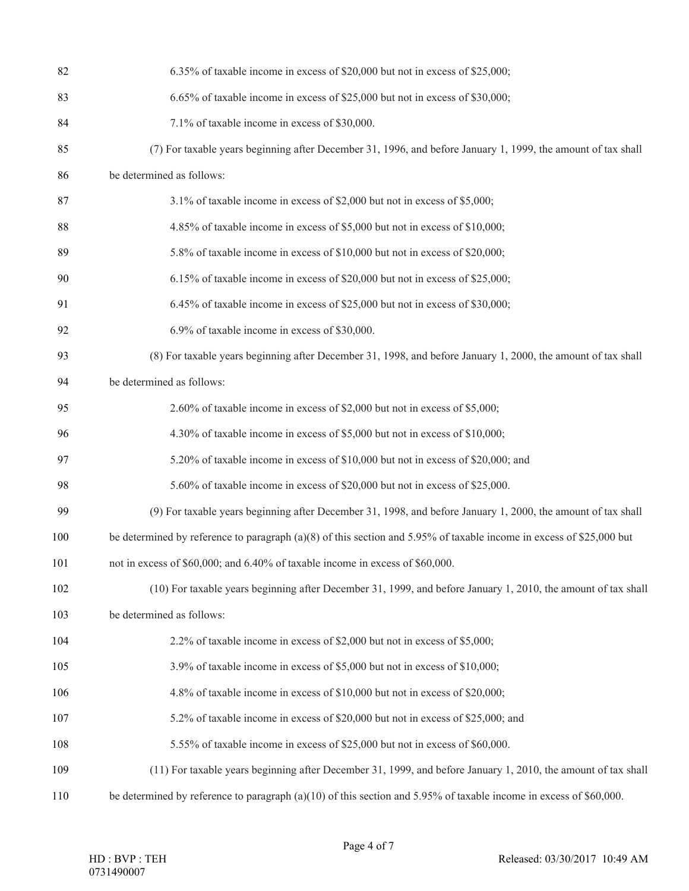| 82  | 6.35% of taxable income in excess of \$20,000 but not in excess of \$25,000;                                         |
|-----|----------------------------------------------------------------------------------------------------------------------|
| 83  | 6.65% of taxable income in excess of \$25,000 but not in excess of \$30,000;                                         |
| 84  | 7.1% of taxable income in excess of \$30,000.                                                                        |
| 85  | (7) For taxable years beginning after December 31, 1996, and before January 1, 1999, the amount of tax shall         |
| 86  | be determined as follows:                                                                                            |
| 87  | 3.1% of taxable income in excess of \$2,000 but not in excess of \$5,000;                                            |
| 88  | 4.85% of taxable income in excess of \$5,000 but not in excess of \$10,000;                                          |
| 89  | 5.8% of taxable income in excess of \$10,000 but not in excess of \$20,000;                                          |
| 90  | 6.15% of taxable income in excess of \$20,000 but not in excess of \$25,000;                                         |
| 91  | 6.45% of taxable income in excess of \$25,000 but not in excess of \$30,000;                                         |
| 92  | 6.9% of taxable income in excess of \$30,000.                                                                        |
| 93  | (8) For taxable years beginning after December 31, 1998, and before January 1, 2000, the amount of tax shall         |
| 94  | be determined as follows:                                                                                            |
| 95  | 2.60% of taxable income in excess of \$2,000 but not in excess of \$5,000;                                           |
| 96  | 4.30% of taxable income in excess of \$5,000 but not in excess of \$10,000;                                          |
| 97  | 5.20% of taxable income in excess of \$10,000 but not in excess of \$20,000; and                                     |
| 98  | 5.60% of taxable income in excess of \$20,000 but not in excess of \$25,000.                                         |
| 99  | (9) For taxable years beginning after December 31, 1998, and before January 1, 2000, the amount of tax shall         |
| 100 | be determined by reference to paragraph (a)(8) of this section and 5.95% of taxable income in excess of \$25,000 but |
| 101 | not in excess of \$60,000; and 6.40% of taxable income in excess of \$60,000.                                        |
| 102 | (10) For taxable years beginning after December 31, 1999, and before January 1, 2010, the amount of tax shall        |
| 103 | be determined as follows:                                                                                            |
| 104 | 2.2% of taxable income in excess of \$2,000 but not in excess of \$5,000;                                            |
| 105 | 3.9% of taxable income in excess of \$5,000 but not in excess of \$10,000;                                           |
| 106 | 4.8% of taxable income in excess of \$10,000 but not in excess of \$20,000;                                          |
| 107 | 5.2% of taxable income in excess of \$20,000 but not in excess of \$25,000; and                                      |
| 108 | 5.55% of taxable income in excess of \$25,000 but not in excess of \$60,000.                                         |
| 109 | (11) For taxable years beginning after December 31, 1999, and before January 1, 2010, the amount of tax shall        |
| 110 | be determined by reference to paragraph (a)(10) of this section and 5.95% of taxable income in excess of \$60,000.   |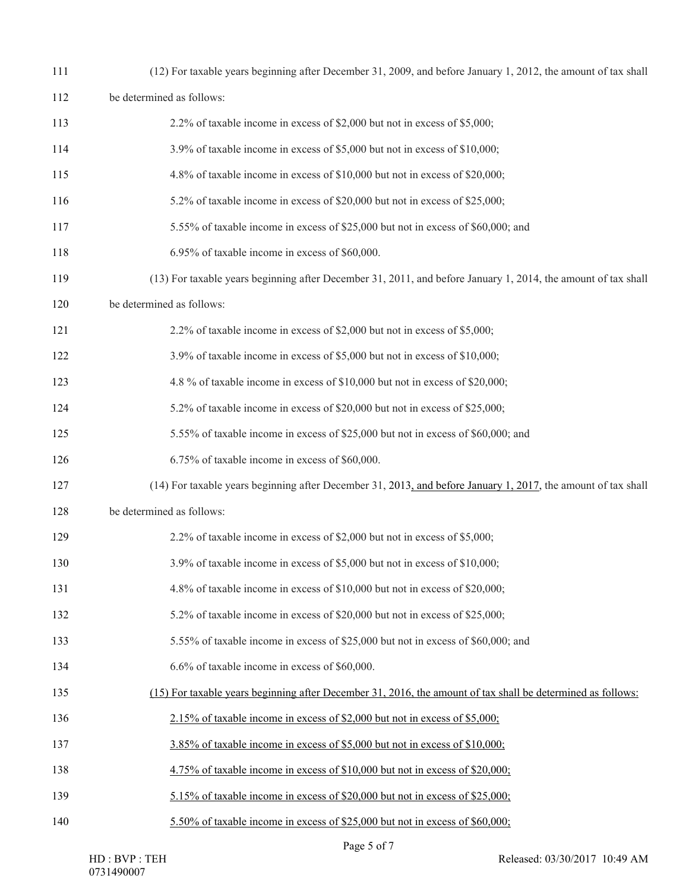| 111 | (12) For taxable years beginning after December 31, 2009, and before January 1, 2012, the amount of tax shall |
|-----|---------------------------------------------------------------------------------------------------------------|
| 112 | be determined as follows:                                                                                     |
| 113 | 2.2% of taxable income in excess of \$2,000 but not in excess of \$5,000;                                     |
| 114 | 3.9% of taxable income in excess of \$5,000 but not in excess of \$10,000;                                    |
| 115 | 4.8% of taxable income in excess of \$10,000 but not in excess of \$20,000;                                   |
| 116 | 5.2% of taxable income in excess of \$20,000 but not in excess of \$25,000;                                   |
| 117 | 5.55% of taxable income in excess of \$25,000 but not in excess of \$60,000; and                              |
| 118 | 6.95% of taxable income in excess of \$60,000.                                                                |
| 119 | (13) For taxable years beginning after December 31, 2011, and before January 1, 2014, the amount of tax shall |
| 120 | be determined as follows:                                                                                     |
| 121 | 2.2% of taxable income in excess of \$2,000 but not in excess of \$5,000;                                     |
| 122 | 3.9% of taxable income in excess of \$5,000 but not in excess of \$10,000;                                    |
| 123 | 4.8 % of taxable income in excess of \$10,000 but not in excess of \$20,000;                                  |
| 124 | 5.2% of taxable income in excess of \$20,000 but not in excess of \$25,000;                                   |
| 125 | 5.55% of taxable income in excess of \$25,000 but not in excess of \$60,000; and                              |
| 126 | 6.75% of taxable income in excess of \$60,000.                                                                |
| 127 | (14) For taxable years beginning after December 31, 2013, and before January 1, 2017, the amount of tax shall |
| 128 | be determined as follows:                                                                                     |
| 129 | 2.2% of taxable income in excess of \$2,000 but not in excess of \$5,000;                                     |
| 130 | 3.9% of taxable income in excess of \$5,000 but not in excess of \$10,000;                                    |
| 131 | 4.8% of taxable income in excess of \$10,000 but not in excess of \$20,000;                                   |
| 132 | 5.2% of taxable income in excess of \$20,000 but not in excess of \$25,000;                                   |
| 133 | 5.55% of taxable income in excess of \$25,000 but not in excess of \$60,000; and                              |
| 134 | 6.6% of taxable income in excess of \$60,000.                                                                 |
| 135 | (15) For taxable years beginning after December 31, 2016, the amount of tax shall be determined as follows:   |
| 136 | 2.15% of taxable income in excess of \$2,000 but not in excess of \$5,000;                                    |
| 137 | 3.85% of taxable income in excess of \$5,000 but not in excess of \$10,000;                                   |
| 138 | 4.75% of taxable income in excess of \$10,000 but not in excess of \$20,000;                                  |
| 139 | 5.15% of taxable income in excess of \$20,000 but not in excess of \$25,000;                                  |
| 140 | 5.50% of taxable income in excess of \$25,000 but not in excess of \$60,000;                                  |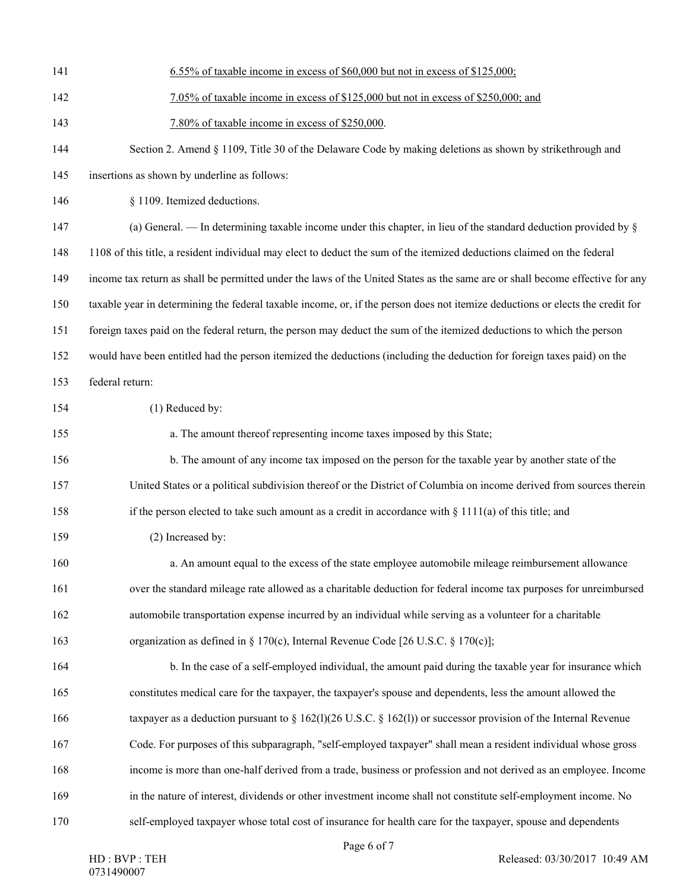| 141 | 6.55% of taxable income in excess of \$60,000 but not in excess of \$125,000;                                                  |
|-----|--------------------------------------------------------------------------------------------------------------------------------|
| 142 | 7.05% of taxable income in excess of \$125,000 but not in excess of \$250,000; and                                             |
| 143 | 7.80% of taxable income in excess of \$250,000.                                                                                |
| 144 | Section 2. Amend § 1109, Title 30 of the Delaware Code by making deletions as shown by strikethrough and                       |
| 145 | insertions as shown by underline as follows:                                                                                   |
| 146 | § 1109. Itemized deductions.                                                                                                   |
| 147 | (a) General. — In determining taxable income under this chapter, in lieu of the standard deduction provided by $\S$            |
| 148 | 1108 of this title, a resident individual may elect to deduct the sum of the itemized deductions claimed on the federal        |
| 149 | income tax return as shall be permitted under the laws of the United States as the same are or shall become effective for any  |
| 150 | taxable year in determining the federal taxable income, or, if the person does not itemize deductions or elects the credit for |
| 151 | foreign taxes paid on the federal return, the person may deduct the sum of the itemized deductions to which the person         |
| 152 | would have been entitled had the person itemized the deductions (including the deduction for foreign taxes paid) on the        |
| 153 | federal return:                                                                                                                |
| 154 | (1) Reduced by:                                                                                                                |
| 155 | a. The amount thereof representing income taxes imposed by this State;                                                         |
| 156 | b. The amount of any income tax imposed on the person for the taxable year by another state of the                             |
| 157 | United States or a political subdivision thereof or the District of Columbia on income derived from sources therein            |
| 158 | if the person elected to take such amount as a credit in accordance with $\S 1111(a)$ of this title; and                       |
| 159 | (2) Increased by:                                                                                                              |
| 160 | a. An amount equal to the excess of the state employee automobile mileage reimbursement allowance                              |
| 161 | over the standard mileage rate allowed as a charitable deduction for federal income tax purposes for unreimbursed              |
| 162 | automobile transportation expense incurred by an individual while serving as a volunteer for a charitable                      |
| 163 | organization as defined in § 170(c), Internal Revenue Code [26 U.S.C. § 170(c)];                                               |
| 164 | b. In the case of a self-employed individual, the amount paid during the taxable year for insurance which                      |
| 165 | constitutes medical care for the taxpayer, the taxpayer's spouse and dependents, less the amount allowed the                   |
| 166 | taxpayer as a deduction pursuant to $\S$ 162(1)(26 U.S.C. $\S$ 162(1)) or successor provision of the Internal Revenue          |
| 167 | Code. For purposes of this subparagraph, "self-employed taxpayer" shall mean a resident individual whose gross                 |
| 168 | income is more than one-half derived from a trade, business or profession and not derived as an employee. Income               |
| 169 | in the nature of interest, dividends or other investment income shall not constitute self-employment income. No                |
| 170 | self-employed taxpayer whose total cost of insurance for health care for the taxpayer, spouse and dependents                   |